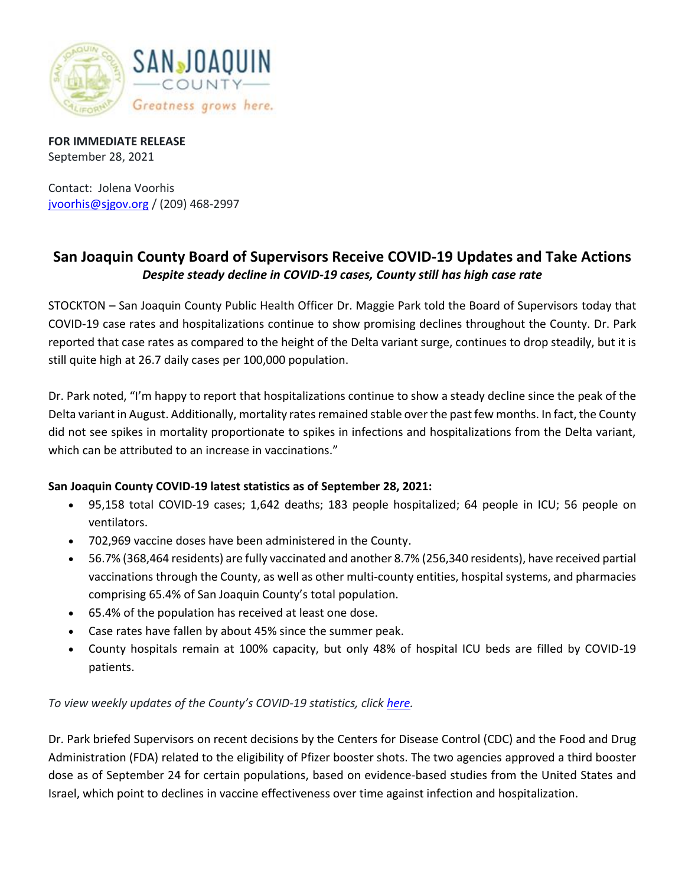

**FOR IMMEDIATE RELEASE** September 28, 2021

Contact: Jolena Voorhis [jvoorhis@sjgov.org](mailto:jvoorhis@sjgov.org) / (209) 468-2997

## **San Joaquin County Board of Supervisors Receive COVID-19 Updates and Take Actions** *Despite steady decline in COVID-19 cases, County still has high case rate*

STOCKTON – San Joaquin County Public Health Officer Dr. Maggie Park told the Board of Supervisors today that COVID-19 case rates and hospitalizations continue to show promising declines throughout the County. Dr. Park reported that case rates as compared to the height of the Delta variant surge, continues to drop steadily, but it is still quite high at 26.7 daily cases per 100,000 population.

Dr. Park noted, "I'm happy to report that hospitalizations continue to show a steady decline since the peak of the Delta variant in August. Additionally, mortality rates remained stable over the past few months. In fact, the County did not see spikes in mortality proportionate to spikes in infections and hospitalizations from the Delta variant, which can be attributed to an increase in vaccinations."

## **San Joaquin County COVID-19 latest statistics as of September 28, 2021:**

- 95,158 total COVID-19 cases; 1,642 deaths; 183 people hospitalized; 64 people in ICU; 56 people on ventilators.
- 702,969 vaccine doses have been administered in the County.
- 56.7% (368,464 residents) are fully vaccinated and another 8.7% (256,340 residents), have received partial vaccinations through the County, as well as other multi-county entities, hospital systems, and pharmacies comprising 65.4% of San Joaquin County's total population.
- 65.4% of the population has received at least one dose.
- Case rates have fallen by about 45% since the summer peak.
- County hospitals remain at 100% capacity, but only 48% of hospital ICU beds are filled by COVID-19 patients.

*To view weekly updates of the County's COVID-19 statistics, clic[k here.](http://www.sjcphs.org/Disease/Epidemiology.aspx)*

Dr. Park briefed Supervisors on recent decisions by the Centers for Disease Control (CDC) and the Food and Drug Administration (FDA) related to the eligibility of Pfizer booster shots. The two agencies approved a third booster dose as of September 24 for certain populations, based on evidence-based studies from the United States and Israel, which point to declines in vaccine effectiveness over time against infection and hospitalization.